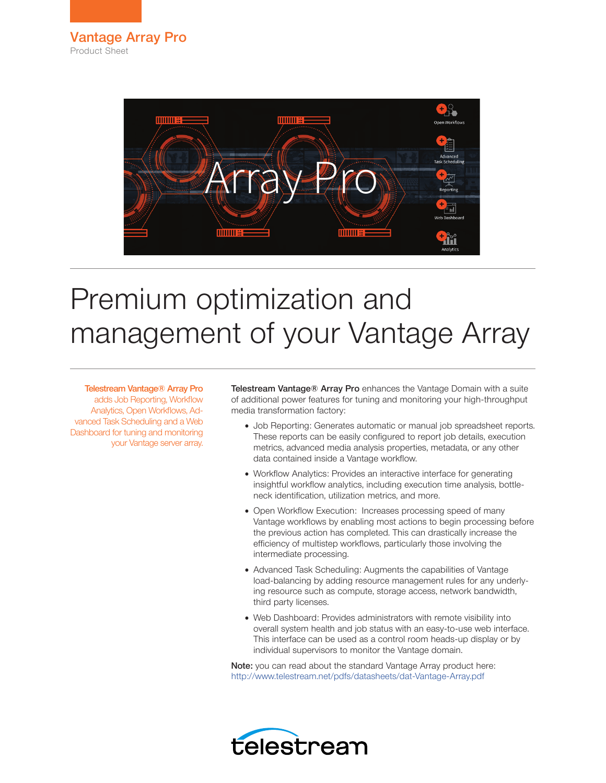

# Premium optimization and management of your Vantage Array

Telestream Vantage® Array Pro adds Job Reporting, Workflow Analytics, Open Workflows, Advanced Task Scheduling and a Web Dashboard for tuning and monitoring your Vantage server array.

Telestream Vantage® Array Pro enhances the Vantage Domain with a suite of additional power features for tuning and monitoring your high-throughput media transformation factory:

- Job Reporting: Generates automatic or manual job spreadsheet reports. These reports can be easily configured to report job details, execution metrics, advanced media analysis properties, metadata, or any other data contained inside a Vantage workflow.
- Workflow Analytics: Provides an interactive interface for generating insightful workflow analytics, including execution time analysis, bottleneck identification, utilization metrics, and more.
- Open Workflow Execution: Increases processing speed of many Vantage workflows by enabling most actions to begin processing before the previous action has completed. This can drastically increase the efficiency of multistep workflows, particularly those involving the intermediate processing.
- Advanced Task Scheduling: Augments the capabilities of Vantage load-balancing by adding resource management rules for any underlying resource such as compute, storage access, network bandwidth, third party licenses.
- Web Dashboard: Provides administrators with remote visibility into overall system health and job status with an easy-to-use web interface. This interface can be used as a control room heads-up display or by individual supervisors to monitor the Vantage domain.

Note: you can read about the standard Vantage Array product here: [http://www.telestream.net/pdfs/datasheets/dat-Vantage-Array.pdf](http://www.telestream.net/pdfs/datasheets/dat-Vantage-Array.pdf )

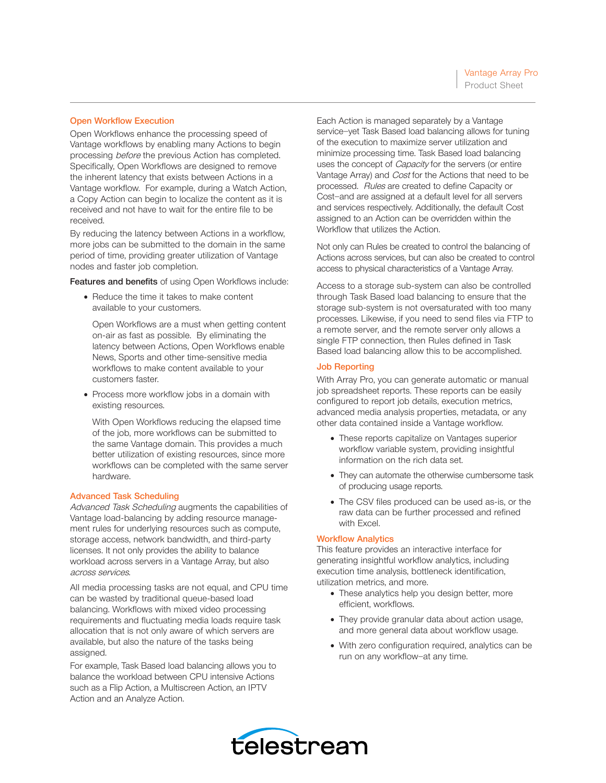# Open Workflow Execution

Open Workflows enhance the processing speed of Vantage workflows by enabling many Actions to begin processing before the previous Action has completed. Specifically, Open Workflows are designed to remove the inherent latency that exists between Actions in a Vantage workflow. For example, during a Watch Action, a Copy Action can begin to localize the content as it is received and not have to wait for the entire file to be received.

By reducing the latency between Actions in a workflow, more jobs can be submitted to the domain in the same period of time, providing greater utilization of Vantage nodes and faster job completion.

Features and benefits of using Open Workflows include:

• Reduce the time it takes to make content available to your customers.

Open Workflows are a must when getting content on-air as fast as possible. By eliminating the latency between Actions, Open Workflows enable News, Sports and other time-sensitive media workflows to make content available to your customers faster.

• Process more workflow jobs in a domain with existing resources.

With Open Workflows reducing the elapsed time of the job, more workflows can be submitted to the same Vantage domain. This provides a much better utilization of existing resources, since more workflows can be completed with the same server hardware.

## Advanced Task Scheduling

Advanced Task Scheduling augments the capabilities of Vantage load-balancing by adding resource management rules for underlying resources such as compute, storage access, network bandwidth, and third-party licenses. It not only provides the ability to balance workload across servers in a Vantage Array, but also across services.

All media processing tasks are not equal, and CPU time can be wasted by traditional queue-based load balancing. Workflows with mixed video processing requirements and fluctuating media loads require task allocation that is not only aware of which servers are available, but also the nature of the tasks being assigned.

For example, Task Based load balancing allows you to balance the workload between CPU intensive Actions such as a Flip Action, a Multiscreen Action, an IPTV Action and an Analyze Action.

Each Action is managed separately by a Vantage service—yet Task Based load balancing allows for tuning of the execution to maximize server utilization and minimize processing time. Task Based load balancing uses the concept of *Capacity* for the servers (or entire Vantage Array) and Cost for the Actions that need to be processed. Rules are created to define Capacity or Cost—and are assigned at a default level for all servers and services respectively. Additionally, the default Cost assigned to an Action can be overridden within the Workflow that utilizes the Action.

Not only can Rules be created to control the balancing of Actions across services, but can also be created to control access to physical characteristics of a Vantage Array.

Access to a storage sub-system can also be controlled through Task Based load balancing to ensure that the storage sub-system is not oversaturated with too many processes. Likewise, if you need to send files via FTP to a remote server, and the remote server only allows a single FTP connection, then Rules defined in Task Based load balancing allow this to be accomplished.

#### Job Reporting

With Array Pro, you can generate automatic or manual job spreadsheet reports. These reports can be easily configured to report job details, execution metrics, advanced media analysis properties, metadata, or any other data contained inside a Vantage workflow.

- These reports capitalize on Vantages superior workflow variable system, providing insightful information on the rich data set.
- They can automate the otherwise cumbersome task of producing usage reports.
- The CSV files produced can be used as-is, or the raw data can be further processed and refined with Excel.

### Workflow Analytics

This feature provides an interactive interface for generating insightful workflow analytics, including execution time analysis, bottleneck identification, utilization metrics, and more.

- These analytics help you design better, more efficient, workflows.
- They provide granular data about action usage, and more general data about workflow usage.
- With zero configuration required, analytics can be run on any workflow—at any time.